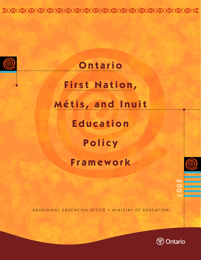

# **Ontario First Nation, Métis, and Inuit Education Policy F ramework**

ABORIGINAL EDUCATION OFFICE . MINISTRY OF EDUCATION



2007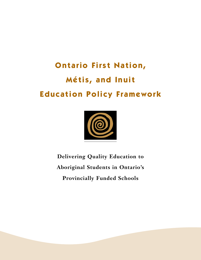# **Ontario First Nation, Métis, and Inuit Education Policy Framework**



**Delivering Quality Education to Aboriginal Students in Ontario's Provincially Funded Schools**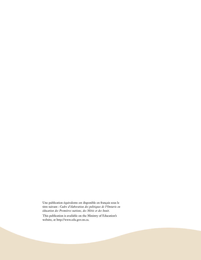Une publication équivalente est disponible en français sous le titre suivant : *Cadre d'élaboration des politiques de l'Ontario en éducation des Premières nations, des Métis et des Inuit.* 

This publication is available on the Ministry of Education's website, at [http://www.edu.gov.on.ca.](http://www.edu.gov.on.ca)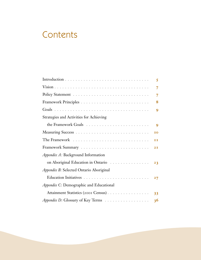## Contents

|                                                 | 5 <sup>1</sup> |
|-------------------------------------------------|----------------|
|                                                 | $\overline{7}$ |
|                                                 | $\overline{7}$ |
|                                                 | 8              |
|                                                 | 9              |
| Strategies and Activities for Achieving         |                |
|                                                 | 9              |
|                                                 | IO             |
|                                                 | II             |
|                                                 | 2I             |
| Appendix A: Background Information              |                |
| on Aboriginal Education in Ontario              | 23             |
| <i>Appendix B</i> : Selected Ontario Aboriginal |                |
|                                                 | $27^{2}$       |
| Appendix C: Demographic and Educational         |                |
| Attainment Statistics (2001 Census)             | 33             |
| Appendix D: Glossary of Key Terms               | 36             |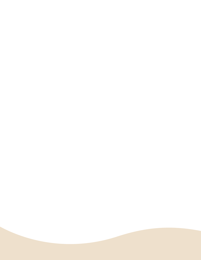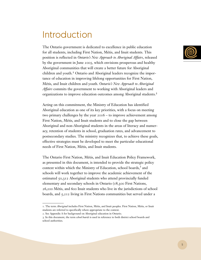

### <span id="page-6-0"></span>Introduction

The Ontario government is dedicated to excellence in public education for all students, including First Nation, Métis, and Inuit students. This position is reflected in *Ontario's New Approach to Aboriginal Affairs*, released by the government in June 2005, which envisions prosperous and healthy Aboriginal communities that will create a better future for Aboriginal children and youth.<sup>1</sup> Ontario and Aboriginal leaders recognize the importance of education in improving lifelong opportunities for First Nation, Métis, and Inuit children and youth. *Ontario's New Approach to Aboriginal Affairs* commits the government to working with Aboriginal leaders and organizations to improve education outcomes among Aboriginal students.2

Acting on this commitment, the Ministry of Education has identified Aboriginal education as one of its key priorities, with a focus on meeting two primary challenges by the year 2016 – to improve achievement among First Nation, Métis, and Inuit students and to close the gap between Aboriginal and non-Aboriginal students in the areas of literacy and numeracy, retention of students in school, graduation rates, and advancement to postsecondary studies. The ministry recognizes that, to achieve these goals, effective strategies must be developed to meet the particular educational needs of First Nation, Métis, and Inuit students.

The Ontario First Nation, Métis, and Inuit Education Policy Framework, as presented in this document, is intended to provide the strategic policy context within which the Ministry of Education, school boards,<sup>3</sup> and schools will work together to improve the academic achievement of the estimated 50,312 Aboriginal students who attend provincially funded elementary and secondary schools in Ontario (18,300 First Nations, 26,200 Métis, and 600 Inuit students who live in the jurisdictions of school boards, and 5,212 living in First Nations communities but served under a

<sup>1.</sup> The term *Aboriginal* includes First Nation, Métis, and Inuit peoples. First Nation, Métis, or Inuit students are referred to specifically where appropriate to the context.

<sup>2.</sup> See Appendix A for background on Aboriginal education in Ontario.

<sup>3.</sup> In this document, the term *school boards* is used in reference to both district school boards and school authorities.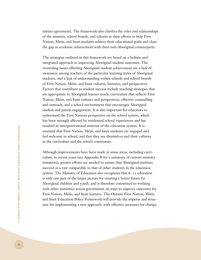tuition agreement). The framework also clarifies the roles and relationships of the ministry, school boards, and schools in their efforts to help First Nation, Métis, and Inuit students achieve their educational goals and close the gap in academic achievement with their non-Aboriginal counterparts.

The strategies outlined in this framework are based on a holistic and integrated approach to improving Aboriginal student outcomes. The overriding issues affecting Aboriginal student achievement are a lack of awareness among teachers of the particular learning styles of Aboriginal students, and a lack of understanding within schools and school boards of First Nation, Métis, and Inuit cultures, histories, and perspectives. Factors that contribute to student success include teaching strategies that are appropriate to Aboriginal learner needs, curriculum that reflects First Nation, Métis, and Inuit cultures and perspectives, effective counselling and outreach, and a school environment that encourages Aboriginal student and parent engagement. It is also important for educators to understand the First Nations perspective on the school system, which has been strongly affected by residential school experiences and has resulted in intergenerational mistrust of the education system. It is essential that First Nation, Métis, and Inuit students are engaged and feel welcome in school, and that they see themselves and their cultures in the curriculum and the school community.

Although improvements have been made in some areas, including curriculum, in recent years (see Appendix B for a summary of current ministry initiatives), greater efforts are needed to ensure that Aboriginal students succeed at a rate comparable to that of other students in the education system. The Ministry of Education also recognizes that K–12 education is only one part of the larger picture for creating a better future for Aboriginal children and youth, and is therefore committed to working with other ministries across government on ways to improve outcomes for First Nation, Métis, and Inuit learners. The Ontario First Nation, Métis, and Inuit Education Policy Framework will provide the impetus and structure for implementing a new approach, with effective measures for change.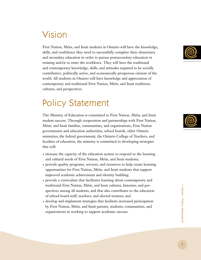### <span id="page-8-0"></span>Vision

First Nation, Métis, and Inuit students in Ontario will have the knowledge, skills, and confidence they need to successfully complete their elementary and secondary education in order to pursue postsecondary education or training and/or to enter the workforce. They will have the traditional and contemporary knowledge, skills, and attitudes required to be socially contributive, politically active, and economically prosperous citizens of the world. All students in Ontario will have knowledge and appreciation of contemporary and traditional First Nation, Métis, and Inuit traditions, cultures, and perspectives.

## Policy Statement

The Ministry of Education is committed to First Nation, Métis, and Inuit student success. Through cooperation and partnerships with First Nation, Métis, and Inuit families, communities, and organizations, First Nation governments and education authorities, school boards, other Ontario ministries, the federal government, the Ontario College of Teachers, and faculties of education, the ministry is committed to developing strategies that will:

- increase the capacity of the education system to respond to the learning and cultural needs of First Nation, Métis, and Inuit students;
- provide quality programs, services, and resources to help create learning opportunities for First Nation, Métis, and Inuit students that support improved academic achievement and identity building;
- provide a curriculum that facilitates learning about contemporary and traditional First Nation, Métis, and Inuit cultures, histories, and perspectives among all students, and that also contributes to the education of school board staff, teachers, and elected trustees; and
- develop and implement strategies that facilitate increased participation by First Nation, Métis, and Inuit parents, students, communities, and organizations in working to support academic success.



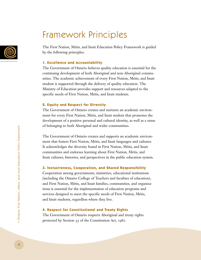### Framework Principles

The First Nation, Métis, and Inuit Education Policy Framework is guided by the following principles:

#### **1. Excellence and Accountability**

The Government of Ontario believes quality education is essential for the continuing development of both Aboriginal and non-Aboriginal communities. The academic achievement of every First Nation, Métis, and Inuit student is supported through the delivery of quality education. The Ministry of Education provides support and resources adapted to the specific needs of First Nation, Métis, and Inuit students.

#### **2. Equity and Respect for Diversity**

The Government of Ontario creates and nurtures an academic environment for every First Nation, Métis, and Inuit student that promotes the development of a positive personal and cultural identity, as well as a sense of belonging to both Aboriginal and wider communities.

The Government of Ontario creates and supports an academic environment that fosters First Nation, Métis, and Inuit languages and cultures. It acknowledges the diversity found in First Nation, Métis, and Inuit communities and endorses learning about First Nation, Métis, and Inuit cultures, histories, and perspectives in the public education system.

#### **3. Inclusiveness, Cooperation, and Shared Responsibility**

Cooperation among governments, ministries, educational institutions (including the Ontario College of Teachers and faculties of education), and First Nation, Métis, and Inuit families, communities, and organizations is essential for the implementation of education programs and services designed to meet the specific needs of First Nation, Métis, and Inuit students, regardless where they live.

#### **4. Respect for Constitutional and Treaty Rights**

The Government of Ontario respects Aboriginal and treaty rights protected by Section 35 of the Constitution Act, 1982.

<span id="page-9-0"></span>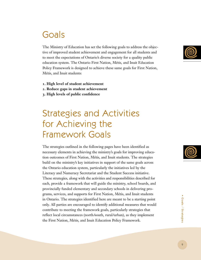### <span id="page-10-0"></span>Goals

The Ministry of Education has set the following goals to address the objective of improved student achievement and engagement for all students and to meet the expectations of Ontario's diverse society for a quality public education system. The Ontario First Nation, Métis, and Inuit Education Policy Framework is designed to achieve these same goals for First Nation, Métis, and Inuit students:

- **1. High level of student achievement**
- **2. Reduce gaps in student achievement**
- **3. High levels of public confidence**

# Strategies and Activities for Achieving the Framework Goals

The strategies outlined in the following pages have been identified as necessary elements in achieving the ministry's goals for improving education outcomes of First Nation, Métis, and Inuit students. The strategies build on the ministry's key initiatives in support of the same goals across the Ontario education system, particularly the initiatives led by the Literacy and Numeracy Secretariat and the Student Success initiative. These strategies, along with the activities and responsibilities described for each, provide a framework that will guide the ministry, school boards, and provincially funded elementary and secondary schools in delivering programs, services, and supports for First Nation, Métis, and Inuit students in Ontario. The strategies identified here are meant to be a starting point only. All parties are encouraged to identify additional measures that would contribute to meeting the framework goals, particularly strategies that reflect local circumstances (north/south, rural/urban), as they implement the First Nation, Métis, and Inuit Education Policy Framework.



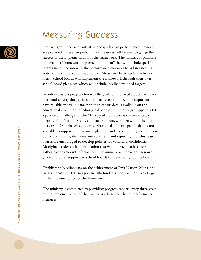<span id="page-11-0"></span>

# Measuring Success

For each goal, specific quantitative and qualitative performance measures are provided. These ten performance measures will be used to gauge the success of the implementation of the framework. The ministry is planning to develop a "framework implementation plan" that will include specific targets in connection with the performance measures to aid in assessing system effectiveness and First Nation, Métis, and Inuit student achievement. School boards will implement the framework through their own school board planning, which will include locally developed targets.

In order to assess progress towards the goals of improved student achievement and closing the gap in student achievement, it will be important to have reliable and valid data. Although census data is available on the educational attainment of Aboriginal peoples in Ontario (see Appendix C), a particular challenge for the Ministry of Education is the inability to identify First Nation, Métis, and Inuit students who live within the jurisdictions of Ontario school boards. Aboriginal student-specific data is not available to support improvement planning and accountability, or to inform policy and funding decisions, measurement, and reporting. For this reason, boards are encouraged to develop policies for voluntary, confidential Aboriginal student self-identification that would provide a basis for gathering the relevant information. The ministry will provide a resource guide and other supports to school boards for developing such policies.

Establishing baseline data on the achievement of First Nation, Métis, and Inuit students in Ontario's provincially funded schools will be a key target in the implementation of the framework.

The ministry is committed to providing progress reports every three years on the implementation of the framework, based on the ten performance measures.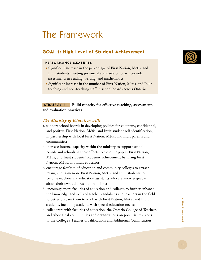### <span id="page-12-0"></span>The Framework

#### **GOAL 1: High Level of Student Achievement**

#### **PERFORMANCE MEASURES**

- Significant increase in the percentage of First Nation, Métis, and Inuit students meeting provincial standards on province-wide assessments in reading, writing, and mathematics
- Significant increase in the number of First Nation, Métis, and Inuit teaching and non-teaching staff in school boards across Ontario

STRATEGY 1.1 **Build capacity for effective teaching, assessment, and evaluation practices.** 

- **a.** support school boards in developing policies for voluntary, confidential, and positive First Nation, Métis, and Inuit student self-identification, in partnership with local First Nation, Métis, and Inuit parents and communities;
- **b.** increase internal capacity within the ministry to support school boards and schools in their efforts to close the gap in First Nation, Métis, and Inuit students' academic achievement by hiring First Nation, Métis, and Inuit educators;
- **c.** encourage faculties of education and community colleges to attract, retain, and train more First Nation, Métis, and Inuit students to become teachers and education assistants who are knowledgeable about their own cultures and traditions;
- **d.** encourage more faculties of education and colleges to further enhance the knowledge and skills of teacher candidates and teachers in the field to better prepare them to work with First Nation, Métis, and Inuit students, including students with special education needs;
- **e.** collaborate with faculties of education, the Ontario College of Teachers, and Aboriginal communities and organizations on potential revisions to the College's Teacher Qualifications and Additional Qualification

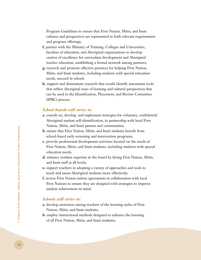Program Guidelines to ensure that First Nation, Métis, and Inuit cultures and perspectives are represented in both relevant requirements and program offerings;

- **f.** partner with the Ministry of Training, Colleges and Universities, faculties of education, and Aboriginal organizations to develop centres of excellence for curriculum development and Aboriginal teacher education, establishing a formal network among partners;
- **g.** research and promote effective practices for helping First Nation, Métis, and Inuit students, including students with special education needs, succeed in school;
- **h.** support and disseminate research that would identify assessment tools that reflect Aboriginal ways of learning and cultural perspectives that can be used in the Identification, Placement, and Review Committee (IPRC) process.

#### *School boards will strive to:*

- **a.** consult on, develop, and implement strategies for voluntary, confidential Aboriginal student self-identification, in partnership with local First Nation, Métis, and Inuit parents and communities;
- **b.** ensure that First Nation, Métis, and Inuit students benefit from school-based early screening and intervention programs;
- **c.** provide professional development activities focused on the needs of First Nation, Métis, and Inuit students, including students with special education needs;
- **d.** enhance resident expertise in the board by hiring First Nation, Métis, and Inuit staff at all levels;
- **e.** support teachers in adopting a variety of approaches and tools to teach and assess Aboriginal students more effectively;
- **f.** review First Nation tuition agreements in collaboration with local First Nations to ensure they are designed with strategies to improve student achievement in mind.

#### *Schools will strive to:*

- **a.** develop awareness among teachers of the learning styles of First Nation, Métis, and Inuit students;
- **b.** employ instructional methods designed to enhance the learning of all First Nation, Métis, and Inuit students;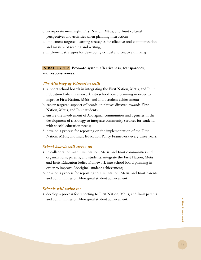- **c.** incorporate meaningful First Nation, Métis, and Inuit cultural perspectives and activities when planning instruction;
- **d.** implement targeted learning strategies for effective oral communication and mastery of reading and writing;
- **e.** implement strategies for developing critical and creative thinking.

STRATEGY 1.2 **Promote system effectiveness, transparency, and responsiveness.** 

#### *The Ministry of Education will:*

- **a.** support school boards in integrating the First Nation, Métis, and Inuit Education Policy Framework into school board planning in order to improve First Nation, Métis, and Inuit student achievement;
- **b.** renew targeted support of boards' initiatives directed towards First Nation, Métis, and Inuit students;
- **c.** ensure the involvement of Aboriginal communities and agencies in the development of a strategy to integrate community services for students with special education needs;
- **d.** develop a process for reporting on the implementation of the First Nation, Métis, and Inuit Education Policy Framework every three years.

#### *School boards will strive to:*

- **a.** in collaboration with First Nation, Métis, and Inuit communities and organizations, parents, and students, integrate the First Nation, Métis, and Inuit Education Policy Framework into school board planning in order to improve Aboriginal student achievement;
- **b.** develop a process for reporting to First Nation, Métis, and Inuit parents and communities on Aboriginal student achievement.

#### *Schools will strive to:*

**a.** develop a process for reporting to First Nation, Métis, and Inuit parents and communities on Aboriginal student achievement.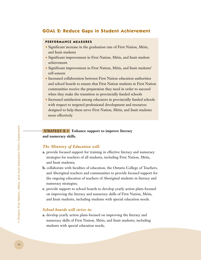#### **GOAL 2: Reduce Gaps in Student Achievement**

#### **PERFORMANCE MEASURES**

- Significant increase in the graduation rate of First Nation, Métis, and Inuit students
- Significant improvement in First Nation, Métis, and Inuit student achievement
- Significant improvement in First Nation, Métis, and Inuit students' self-esteem
- Increased collaboration between First Nation education authorities and school boards to ensure that First Nation students in First Nation communities receive the preparation they need in order to succeed when they make the transition to provincially funded schools
- Increased satisfaction among educators in provincially funded schools with respect to targeted professional development and resources designed to help them serve First Nation, Métis, and Inuit students more effectively

#### STRATEGY 2.1 **Enhance support to improve literacy and numeracy skills.**

#### *The Ministry of Education will:*

- **a.** provide focused support for training in effective literacy and numeracy strategies for teachers of all students, including First Nation, Métis, and Inuit students;
- **b.** collaborate with faculties of education, the Ontario College of Teachers, and Aboriginal teachers and communities to provide focused support for the ongoing education of teachers of Aboriginal students in literacy and numeracy strategies;
- **c.** provide support to school boards to develop yearly action plans focused on improving the literacy and numeracy skills of First Nation, Métis, and Inuit students, including students with special education needs.

#### *School boards will strive to:*

**a.** develop yearly action plans focused on improving the literacy and numeracy skills of First Nation, Métis, and Inuit students, including students with special education needs;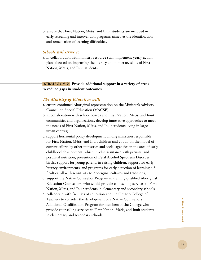**b.** ensure that First Nation, Métis, and Inuit students are included in early screening and intervention programs aimed at the identification and remediation of learning difficulties.

#### *Schools will strive to:*

**a.** in collaboration with ministry resource staff, implement yearly action plans focused on improving the literacy and numeracy skills of First Nation, Métis, and Inuit students.

STRATEGY 2.2 **Provide additional support in a variety of areas to reduce gaps in student outcomes.** 

- **a.** ensure continued Aboriginal representation on the Minister's Advisory Council on Special Education (MACSE);
- **b.** in collaboration with school boards and First Nation, Métis, and Inuit communities and organizations, develop innovative approaches to meet the needs of First Nation, Métis, and Inuit students living in large urban centres;
- **c.** support horizontal policy development among ministries responsible for First Nation, Métis, and Inuit children and youth, on the model of current efforts by other ministries and social agencies in the area of early childhood development, which involve assistance with prenatal and postnatal nutrition, prevention of Fetal Alcohol Spectrum Disorder births, support for young parents in raising children, support for early literacy environments, and programs for early detection of learning difficulties, all with sensitivity to Aboriginal cultures and traditions;
- **d.** support the Native Counsellor Program in training qualified Aboriginal Education Counsellors, who would provide counselling services to First Nation, Métis, and Inuit students in elementary and secondary schools;
- **e.** collaborate with faculties of education and the Ontario College of Teachers to consider the development of a Native Counsellors Additional Qualification Program for members of the College who provide counselling services to First Nation, Métis, and Inuit students in elementary and secondary schools;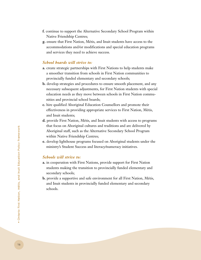- **f.** continue to support the Alternative Secondary School Program within Native Friendship Centres;
- **g.** ensure that First Nation, Métis, and Inuit students have access to the accommodations and/or modifications and special education programs and services they need to achieve success.

#### *School boards will strive to:*

- **a.** create strategic partnerships with First Nations to help students make a smoother transition from schools in First Nation communities to provincially funded elementary and secondary schools;
- **b.** develop strategies and procedures to ensure smooth placement, and any necessary subsequent adjustments, for First Nation students with special education needs as they move between schools in First Nation communities and provincial school boards;
- **c.** hire qualified Aboriginal Education Counsellors and promote their effectiveness in providing appropriate services to First Nation, Métis, and Inuit students;
- **d.** provide First Nation, Métis, and Inuit students with access to programs that focus on Aboriginal cultures and traditions and are delivered by Aboriginal staff, such as the Alternative Secondary School Program within Native Friendship Centres;
- **e.** develop lighthouse programs focused on Aboriginal students under the ministry's Student Success and literacy/numeracy initiatives.

#### *Schools will strive to:*

- **a.** in cooperation with First Nations, provide support for First Nation students making the transition to provincially funded elementary and secondary schools;
- **b.** provide a supportive and safe environment for all First Nation, Métis, and Inuit students in provincially funded elementary and secondary schools.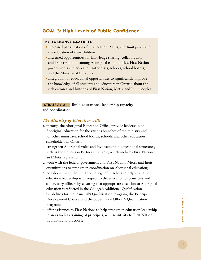#### **GOAL 3: High Levels of Public Confidence**

#### **PERFORMANCE MEASURES**

- Increased participation of First Nation, Métis, and Inuit parents in the education of their children
- Increased opportunities for knowledge sharing, collaboration, and issue resolution among Aboriginal communities, First Nation governments and education authorities, schools, school boards, and the Ministry of Education
- Integration of educational opportunities to significantly improve the knowledge of all students and educators in Ontario about the rich cultures and histories of First Nation, Métis, and Inuit peoples

#### STRATEGY 3.1 **Build educational leadership capacity and coordination.**

- **a.** through the Aboriginal Education Office, provide leadership on Aboriginal education for the various branches of the ministry and for other ministries, school boards, schools, and other education stakeholders in Ontario;
- **b.** strengthen Aboriginal voice and involvement in educational structures, such as the Education Partnership Table, which includes First Nation and Métis representation;
- **c.** work with the federal government and First Nation, Métis, and Inuit organizations to strengthen coordination on Aboriginal education;
- **d.** collaborate with the Ontario College of Teachers to help strengthen education leadership with respect to the education of principals and supervisory officers by ensuring that appropriate attention to Aboriginal education is reflected in the College's Additional Qualification Guidelines for the Principal's Qualification Program, the Principal's Development Course, and the Supervisory Officer's Qualification Program;
- **e.** offer assistance to First Nations to help strengthen education leadership in areas such as training of principals, with sensitivity to First Nation traditions and practices;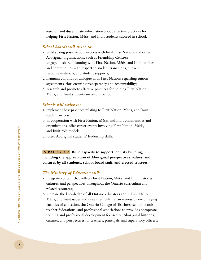**f.** research and disseminate information about effective practices for helping First Nation, Métis, and Inuit students succeed in school.

#### *School boards will strive to:*

- **a.** build strong positive connections with local First Nations and other Aboriginal organizations, such as Friendship Centres;
- **b.** engage in shared planning with First Nation, Métis, and Inuit families and communities with respect to student transitions, curriculum, resource materials, and student supports;
- **c.** maintain continuous dialogue with First Nations regarding tuition agreements, thus ensuring transparency and accountability;
- **d.** research and promote effective practices for helping First Nation, Métis, and Inuit students succeed in school.

#### *Schools will strive to:*

- **a.** implement best practices relating to First Nation, Métis, and Inuit student success;
- **b.** in cooperation with First Nation, Métis, and Inuit communities and organizations, offer career events involving First Nation, Métis, and Inuit role models;
- **c.** foster Aboriginal students' leadership skills.

STRATEGY 3.2 **Build capacity to support identity building, including the appreciation of Aboriginal perspectives, values, and cultures by all students, school board staff, and elected trustees.** 

- **a.** integrate content that reflects First Nation, Métis, and Inuit histories, cultures, and perspectives throughout the Ontario curriculum and related resources;
- **b.** increase the knowledge of all Ontario educators about First Nation, Métis, and Inuit issues and raise their cultural awareness by encouraging faculties of education, the Ontario College of Teachers, school boards, teacher federations, and professional associations to provide appropriate training and professional development focused on Aboriginal histories, cultures, and perspectives for teachers, principals, and supervisory officers;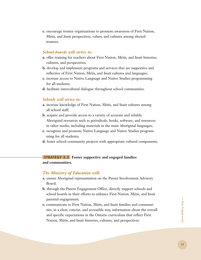**c.** encourage trustee organizations to promote awareness of First Nation, Métis, and Inuit perspectives, values, and cultures among elected trustees.

#### *School boards will strive to:*

- **a.** offer training for teachers about First Nation, Métis, and Inuit histories, cultures, and perspectives;
- **b.** develop and implement programs and services that are supportive and reflective of First Nation, Métis, and Inuit cultures and languages;
- **c.** increase access to Native Language and Native Studies programming for all students;
- **d.** facilitate intercultural dialogue throughout school communities.

#### *Schools will strive to:*

- **a.** increase knowledge of First Nation, Métis, and Inuit cultures among all school staff;
- **b.** acquire and provide access to a variety of accurate and reliable Aboriginal resources such as periodicals, books, software, and resources in other media, including materials in the main Aboriginal languages;
- **c.** recognize and promote Native Language and Native Studies programming for all students;
- **d.** foster school-community projects with appropriate cultural components.

STRATEGY 3.3 **Foster supportive and engaged families and communities.** 

- **a.** ensure Aboriginal representation on the Parent Involvement Advisory Board;
- **b.** through the Parent Engagement Office, directly support schools and school boards in their efforts to enhance First Nation, Métis, and Inuit parental engagement;
- **c.** communicate to First Nation, Métis, and Inuit families and communities, in a clear, concise, and accessible way, information about the overall and specific expectations in the Ontario curriculum that reflect First Nation, Métis, and Inuit histories, cultures, and perspectives.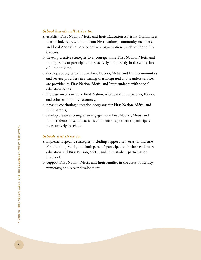#### *School boards will strive to:*

- **a.** establish First Nation, Métis, and Inuit Education Advisory Committees that include representation from First Nations, community members, and local Aboriginal service delivery organizations, such as Friendship Centres;
- **b.** develop creative strategies to encourage more First Nation, Métis, and Inuit parents to participate more actively and directly in the education of their children;
- **c.** develop strategies to involve First Nation, Métis, and Inuit communities and service providers in ensuring that integrated and seamless services are provided to First Nation, Métis, and Inuit students with special education needs;
- **d.** increase involvement of First Nation, Métis, and Inuit parents, Elders, and other community resources;
- **e.** provide continuing education programs for First Nation, Métis, and Inuit parents;
- **f.** develop creative strategies to engage more First Nation, Métis, and Inuit students in school activities and encourage them to participate more actively in school.

#### *Schools will strive to:*

- **a.** implement specific strategies, including support networks, to increase First Nation, Métis, and Inuit parents' participation in their children's education and First Nation, Métis, and Inuit student participation in school;
- **b.** support First Nation, Métis, and Inuit families in the areas of literacy, numeracy, and career development.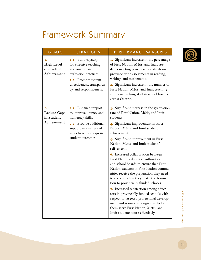# <span id="page-22-0"></span>Framework Summary

| <b>GOALS</b>                                          | <b>STRATEGIES</b>                                                                                                                                                                 | PERFORMANCE MEASURES                                                                                                                                                                                                                                                                                                                                                                                                                                                                                                                                                                                                                                                                                                                                                                                                                  |
|-------------------------------------------------------|-----------------------------------------------------------------------------------------------------------------------------------------------------------------------------------|---------------------------------------------------------------------------------------------------------------------------------------------------------------------------------------------------------------------------------------------------------------------------------------------------------------------------------------------------------------------------------------------------------------------------------------------------------------------------------------------------------------------------------------------------------------------------------------------------------------------------------------------------------------------------------------------------------------------------------------------------------------------------------------------------------------------------------------|
| 1.<br><b>High Level</b><br>of Student<br>Achievement  | <b>1.1:</b> Build capacity<br>for effective teaching,<br>assessment, and<br>evaluation practices.<br>1.2: Promote system<br>effectiveness, transparen-<br>cy, and responsiveness. | I. Significant increase in the percentage<br>of First Nation, Métis, and Inuit stu-<br>dents meeting provincial standards on<br>province-wide assessments in reading,<br>writing, and mathematics<br>2. Significant increase in the number of<br>First Nation, Métis, and Inuit teaching<br>and non-teaching staff in school boards<br>across Ontario                                                                                                                                                                                                                                                                                                                                                                                                                                                                                 |
| 2.<br><b>Reduce Gaps</b><br>in Student<br>Achievement | 2.1: Enhance support<br>to improve literacy and<br>numeracy skills.<br>2.2: Provide additional<br>support in a variety of<br>areas to reduce gaps in<br>student outcomes.         | 3. Significant increase in the graduation<br>rate of First Nation, Métis, and Inuit<br>students<br>4. Significant improvement in First<br>Nation, Métis, and Inuit student<br>achievement<br>5. Significant improvement in First<br>Nation, Métis, and Inuit students'<br>self-esteem<br>6. Increased collaboration between<br>First Nation education authorities<br>and school boards to ensure that First<br>Nation students in First Nation commu-<br>nities receive the preparation they need<br>to succeed when they make the transi-<br>tion to provincially funded schools<br>7. Increased satisfaction among educa-<br>tors in provincially funded schools with<br>respect to targeted professional develop-<br>ment and resources designed to help<br>them serve First Nation, Métis, and<br>Inuit students more effectively |

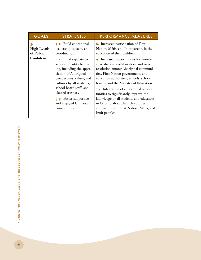| <b>GOALS</b>                                        | <b>STRATEGIES</b>                                                                                                                                                                                                                                                                                                                                             | PERFORMANCE MEASURES                                                                                                                                                                                                                                                                                                                                                                                                                                                                                                                                                                                      |
|-----------------------------------------------------|---------------------------------------------------------------------------------------------------------------------------------------------------------------------------------------------------------------------------------------------------------------------------------------------------------------------------------------------------------------|-----------------------------------------------------------------------------------------------------------------------------------------------------------------------------------------------------------------------------------------------------------------------------------------------------------------------------------------------------------------------------------------------------------------------------------------------------------------------------------------------------------------------------------------------------------------------------------------------------------|
| 3.<br><b>High Levels</b><br>of Public<br>Confidence | 3.1: Build educational<br>leadership capacity and<br>coordination.<br>3.2: Build capacity to<br>support identity build-<br>ing, including the appre-<br>ciation of Aboriginal<br>perspectives, values, and<br>cultures by all students,<br>school board staff, and<br>elected trustees.<br>3.3: Foster supportive<br>and engaged families and<br>communities. | 8. Increased participation of First<br>Nation, Métis, and Inuit parents in the<br>education of their children<br>9. Increased opportunities for knowl-<br>edge sharing, collaboration, and issue<br>resolution among Aboriginal communi-<br>ties, First Nation governments and<br>education authorities, schools, school<br>boards, and the Ministry of Education<br><b>10.</b> Integration of educational oppor-<br>tunities to significantly improve the<br>knowledge of all students and educators<br>in Ontario about the rich cultures<br>and histories of First Nation, Métis, and<br>Inuit peoples |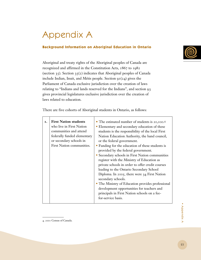# <span id="page-24-0"></span>Appendix A

#### **Background Information on Aboriginal Education in Ontario**

Aboriginal and treaty rights of the Aboriginal peoples of Canada are recognized and affirmed in the Constitution Acts, 1867 to 1982 (section 35). Section 35(2) indicates that Aboriginal peoples of Canada include Indian, Inuit, and Métis people. Section 91(24) gives the Parliament of Canada exclusive jurisdiction over the creation of laws relating to "Indians and lands reserved for the Indians", and section 93 gives provincial legislatures exclusive jurisdiction over the creation of laws related to education.

There are five cohorts of Aboriginal students in Ontario, as follows:

| <b>I.</b> | <b>First Nation students</b><br>who live in First Nation<br>communities and attend<br>federally funded elementary<br>or secondary schools in<br>First Nation communities. | • The estimated number of students is 20,100.4<br>• Elementary and secondary education of these<br>students is the responsibility of the local First<br>Nation Education Authority, the band council,<br>or the federal government.<br>• Funding for the education of these students is<br>provided by the federal government.<br>• Secondary schools in First Nation communities<br>register with the Ministry of Education as<br>private schools in order to offer credit courses<br>leading to the Ontario Secondary School<br>Diploma. In 2005, there were 34 First Nation<br>secondary schools.<br>• The Ministry of Education provides professional |
|-----------|---------------------------------------------------------------------------------------------------------------------------------------------------------------------------|-----------------------------------------------------------------------------------------------------------------------------------------------------------------------------------------------------------------------------------------------------------------------------------------------------------------------------------------------------------------------------------------------------------------------------------------------------------------------------------------------------------------------------------------------------------------------------------------------------------------------------------------------------------|
|           |                                                                                                                                                                           | development opportunities for teachers and<br>principals in First Nation schools on a fee-<br>for-service basis.                                                                                                                                                                                                                                                                                                                                                                                                                                                                                                                                          |
|           |                                                                                                                                                                           |                                                                                                                                                                                                                                                                                                                                                                                                                                                                                                                                                                                                                                                           |

4. 2001 Census of Canada.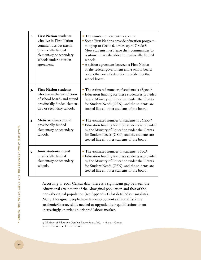| 2. | <b>First Nation students</b><br>who live in First Nation<br>communities but attend<br>provincially funded<br>elementary or secondary<br>schools under a tuition<br>agreement. | • The number of students is 5,212.5<br>· Some First Nations provide education program-<br>ming up to Grade 6, others up to Grade 8.<br>Most students must leave their communities to<br>continue their education in provincially funded<br>schools.<br>• A tuition agreement between a First Nation<br>or the federal government and a school board<br>covers the cost of education provided by the<br>school board. |
|----|-------------------------------------------------------------------------------------------------------------------------------------------------------------------------------|----------------------------------------------------------------------------------------------------------------------------------------------------------------------------------------------------------------------------------------------------------------------------------------------------------------------------------------------------------------------------------------------------------------------|
| 3. | <b>First Nation students</b><br>who live in the jurisdiction<br>of school boards and attend<br>provincially funded elemen-<br>tary or secondary schools.                      | • The estimated number of students is 18,300. <sup>6</sup><br>· Education funding for these students is provided<br>by the Ministry of Education under the Grants<br>for Student Needs (GSN), and the students are<br>treated like all other students of the board.                                                                                                                                                  |
| 4· | Métis students attend<br>provincially funded<br>elementary or secondary<br>schools.                                                                                           | • The estimated number of students is 26,200.7<br>• Education funding for these students is provided<br>by the Ministry of Education under the Grants<br>for Student Needs (GSN), and the students are<br>treated like all other students of the board.                                                                                                                                                              |
| 5. | Inuit students attend<br>provincially funded<br>elementary or secondary<br>schools.                                                                                           | • The estimated number of students is 600.8<br>• Education funding for these students is provided<br>by the Ministry of Education under the Grants<br>for Student Needs (GSN), and the students are<br>treated like all other students of the board.                                                                                                                                                                 |

According to 2001 Census data, there is a significant gap between the educational attainment of the Aboriginal population and that of the non-Aboriginal population (see Appendix C for detailed census data). Many Aboriginal people have few employment skills and lack the academic/literacy skills needed to upgrade their qualifications in an increasingly knowledge-oriented labour market.

<sup>5.</sup> Ministry of Education October Report (2004/05). **•** 6. 2001 Census.

<sup>7. 2001</sup> Census. • 8. 2001 Census.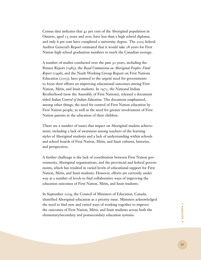Census data indicates that 42 per cent of the Aboriginal population in Ontario, aged 15 years and over, have less than a high school diploma, and only 6 per cent have completed a university degree. The 2005 federal Auditor General's Report estimated that it would take 28 years for First Nation high school graduation numbers to reach the Canadian average.

A number of studies conducted over the past 30 years, including the Penner Report (1983), the *Royal Commission on Aboriginal Peoples: Final Report* (1996), and the Nault Working Group Report on First Nations Education (2003), have pointed to the urgent need for governments to focus their efforts on improving educational outcomes among First Nation, Métis, and Inuit students. In 1972, the National Indian Brotherhood (now the Assembly of First Nations), released a document titled *Indian Control of Indian Education*. The document emphasized, among other things, the need for control of First Nation education by First Nation people, as well as the need for greater involvement of First Nation parents in the education of their children.

There are a number of issues that impact on Aboriginal student achievement, including a lack of awareness among teachers of the learning styles of Aboriginal students and a lack of understanding within schools and school boards of First Nation, Métis, and Inuit cultures, histories, and perspectives.

A further challenge is the lack of coordination between First Nation governments, Aboriginal organizations, and the provincial and federal governments, which has resulted in varied levels of educational support for First Nation, Métis, and Inuit students. However, efforts are currently under way at a number of levels to find collaborative ways of improving the education outcomes of First Nation, Métis, and Inuit students.

In September 2004, the Council of Ministers of Education, Canada, identified Aboriginal education as a priority issue. Ministers acknowledged the need to find new and varied ways of working together to improve the outcomes of First Nation, Métis, and Inuit students across both the elementary/secondary and postsecondary education systems.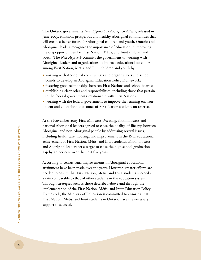The Ontario government's *New Approach to Aboriginal Affairs*, released in June 2005, envisions prosperous and healthy Aboriginal communities that will create a better future for Aboriginal children and youth. Ontario and Aboriginal leaders recognize the importance of education in improving lifelong opportunities for First Nation, Métis, and Inuit children and youth. The *New Approach* commits the government to working with Aboriginal leaders and organizations to improve educational outcomes among First Nation, Métis, and Inuit children and youth by:

- working with Aboriginal communities and organizations and school boards to develop an Aboriginal Education Policy Framework;
- fostering good relationships between First Nations and school boards;
- establishing clear roles and responsibilities, including those that pertain to the federal government's relationship with First Nations;
- working with the federal government to improve the learning environment and educational outcomes of First Nation students on reserve.

At the November 2005 First Ministers' Meeting, first ministers and national Aboriginal leaders agreed to close the quality-of-life gap between Aboriginal and non-Aboriginal people by addressing several issues, including health care, housing, and improvement in the K-12 educational achievement of First Nation, Métis, and Inuit students. First ministers and Aboriginal leaders set a target to close the high school graduation gap by 20 per cent over the next five years.

According to census data, improvements in Aboriginal educational attainment have been made over the years. However, greater efforts are needed to ensure that First Nation, Métis, and Inuit students succeed at a rate comparable to that of other students in the education system. Through strategies such as those described above and through the implementation of the First Nation, Métis, and Inuit Education Policy Framework, the Ministry of Education is committed to ensuring that First Nation, Métis, and Inuit students in Ontario have the necessary support to succeed.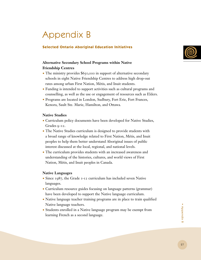# <span id="page-28-0"></span>Appendix B

#### **Selected Ontario Aboriginal Education Initiatives**



#### **Alternative Secondary School Programs within Native Friendship Centres**

- The ministry provides \$650,000 in support of alternative secondary schools in eight Native Friendship Centres to address high drop-out rates among urban First Nation, Métis, and Inuit students.
- Funding is intended to support activities such as cultural programs and counselling, as well as the use or engagement of resources such as Elders.
- Programs are located in London, Sudbury, Fort Erie, Fort Frances, Kenora, Sault Ste. Marie, Hamilton, and Ottawa.

#### **Native Studies**

- Curriculum policy documents have been developed for Native Studies, Grades 9-12.
- The Native Studies curriculum is designed to provide students with a broad range of knowledge related to First Nation, Métis, and Inuit peoples to help them better understand Aboriginal issues of public interest discussed at the local, regional, and national levels.
- The curriculum provides students with an increased awareness and understanding of the histories, cultures, and world views of First Nation, Métis, and Inuit peoples in Canada.

#### **Native Languages**

- Since 1987, the Grade 1-12 curriculum has included seven Native languages.
- Curriculum resource guides focusing on language patterns (grammar) have been developed to support the Native language curriculum.
- Native language teacher training programs are in place to train qualified Native language teachers.
- Students enrolled in a Native language program may be exempt from learning French as a second language.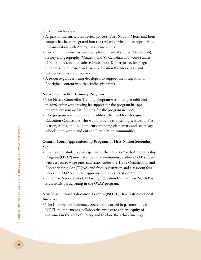#### **Curriculum Review**

- As part of the curriculum review process, First Nation, Métis, and Inuit content has been integrated into the revised curriculum as appropriate, in consultation with Aboriginal organizations.
- Curriculum review has been completed in social studies (Grades 1-6), history and geography (Grades 7 and 8), Canadian and world studies (Grades 9-12), mathematics (Grade 1-11), Kindergarten, language (Grades 1-8), guidance and career education (Grades 9-12), and business studies (Grades 9-12).
- A resource guide is being developed to support the integration of Aboriginal content in social studies programs.

#### **Native Counsellor Training Program**

- The Native Counsellor Training Program was initially established in 1976. After withdrawing its support for the program in 1995, the ministry renewed its funding for the program in 2006.
- The program was established to address the need for Aboriginal Education Counsellors who would provide counselling services to First Nation, Métis, and Inuit students attending elementary and secondary schools both within and outside First Nation communities.

#### **Ontario Youth Apprenticeship Program in First Nation Secondary Schools**

- First Nation students participating in the Ontario Youth Apprenticeship Program (OYAP) now have the same exemption as other OYAP students with respect to wage rates and ratios under the Trade Qualification and Apprenticeship Act (TQAA) and from registration and classroom fees under the TQAA and the Apprenticeship Certification Act.
- One First Nation school, N'bisiing Education Centre, near North Bay, is currently participating in the OYAP program.

#### **Northern Ontario Education Leaders (NOEL): K-6 Literacy Local Initiative**

• The Literacy and Numeracy Secretariat worked in partnership with NOEL to implement a collaborative project to achieve equity of outcomes in the area of literacy and to close the achievement gap,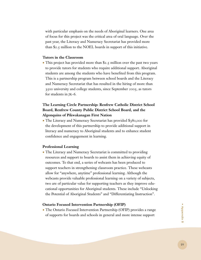with particular emphasis on the needs of Aboriginal learners. One area of focus for this project was the critical area of oral language. Over the past year, the Literacy and Numeracy Secretariat has provided more than \$2.5 million to the NOEL boards in support of this initiative.

#### **Tutors in the Classroom**

• This project has provided more than \$2.5 million over the past two years to provide tutors for students who require additional support. Aboriginal students are among the students who have benefited from this program. This is a partnership program between school boards and the Literacy and Numeracy Secretariat that has resulted in the hiring of more than 3500 university and college students, since September 2005, as tutors for students in JK-6.

#### **The Learning Circle Partnership: Renfrew Catholic District School Board, Renfrew County Public District School Board, and the Algonquins of Pikwakanagan First Nation**

• The Literacy and Numeracy Secretariat has provided \$380,000 for the development of this partnership to provide additional support in literacy and numeracy to Aboriginal students and to enhance student confidence and engagement in learning.

#### **Professional Learning**

• The Literacy and Numeracy Secretariat is committed to providing resources and support to boards to assist them in achieving equity of outcomes. To that end, a series of webcasts has been produced to support teachers in strengthening classroom practice. These webcasts allow for "anywhere, anytime" professional learning. Although the webcasts provide valuable professional learning on a variety of subjects, two are of particular value for supporting teachers as they improve educational opportunities for Aboriginal students. These include "Unlocking the Potential of Aboriginal Students" and "Differentiating Instruction".

#### **Ontario Focused Intervention Partnership (OFIP)**

• The Ontario Focused Intervention Partnership (OFIP) provides a range of supports for boards and schools in general and more intense support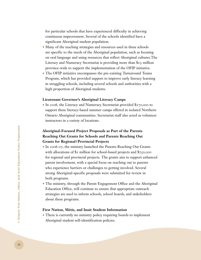for particular schools that have experienced difficulty in achieving continuous improvement. Several of the schools identified have a significant Aboriginal student population.

- Many of the teaching strategies and resources used in these schools are specific to the needs of the Aboriginal population, such as focusing on oral language and using resources that reflect Aboriginal cultures.The Literacy and Numeracy Secretariat is providing more than \$25 million province-wide to support the implementation of the OFIP initiative.
- The OFIP initiative encompasses the pre-existing Turnaround Teams Program, which has provided support to improve early literacy learning in struggling schools, including several schools and authorities with a high proportion of Aboriginal students.

#### **Lieutenant Governor's Aboriginal Literacy Camps**

• In 2006, the Literacy and Numeracy Secretariat provided \$270,000 to support these literacy-based summer camps offered in isolated Northern Ontario Aboriginal communities. Secretariat staff also acted as volunteer instructors in a variety of locations.

#### **Aboriginal-Focused Project Proposals as Part of the Parents Reaching Out Grants for Schools and Parents Reaching Out Grants for Regional/Provincial Projects**

- In 2006-07, the ministry launched the Parents Reaching Out Grants with allocations of  $\sin$  million for school-based projects and  $\frac{1}{2}750,000$ for regional and provincial projects. The grants aim to support enhanced parent involvement, with a special focus on reaching out to parents who experience barriers or challenges to getting involved. Several strong Aboriginal-specific proposals were submitted for review in both programs.
- The ministry, through the Parent Engagement Office and the Aboriginal Education Office, will continue to ensure that appropriate outreach strategies are used to inform schools, school boards, and stakeholders about these programs.

#### **First Nation, Métis, and Inuit Student Information**

• There is currently no ministry policy requiring boards to implement Aboriginal student self-identification policies.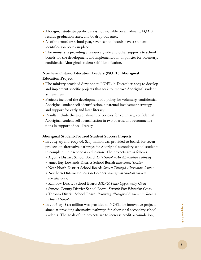- Aboriginal student-specific data is not available on enrolment, EQAO results, graduation rates, and/or drop-out rates.
- As of the 2006-07 school year, seven school boards have a student identification policy in place.
- The ministry is providing a resource guide and other supports to school boards for the development and implementation of policies for voluntary, confidential Aboriginal student self-identification.

#### **Northern Ontario Education Leaders (NOEL): Aboriginal Education Project**

- The ministry provided \$175,000 to NOEL in December 2003 to develop and implement specific projects that seek to improve Aboriginal student achievement.
- Projects included the development of a policy for voluntary, confidential Aboriginal student self-identification, a parental involvement strategy, and support for early and later literacy.
- Results include the establishment of policies for voluntary, confidential Aboriginal student self-identification in two boards, and recommendations in support of oral literacy.

#### **Aboriginal Student-Focused Student Success Projects**

- In 2004-05 and 2005-06, \$2.3 million was provided to boards for seven projects on alternative pathways for Aboriginal secondary school students to complete their secondary education. The projects are as follows:
	- Algoma District School Board: *Late School An Alternative Pathway*
	- James Bay Lowlands District School Board: *Innovation Teacher*
	- Near North District School Board: *Success Through Alternative Routes*
	- Northern Ontario Education Leaders: *Aboriginal Student Success (Grades 7-12)*
	- Rainbow District School Board: *MKWA Police Opportunity Circle*
	- Simcoe County District School Board: *Seventh Fire Education Centre*
	- Toronto District School Board: *Retaining Aboriginal Students in Toronto District Schools*
- In 2006-07, \$1.2 million was provided to NOEL for innovative projects aimed at providing alternative pathways for Aboriginal secondary school students. The goals of the projects are to increase credit accumulation,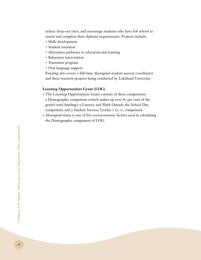reduce drop-out rates, and encourage students who have left school to return and complete their diploma requirements. Projects include:

- Skills development
- Student retention
- Alternative pathways to education and training
- Behaviour intervention
- Transition program
- Oral language support

Funding also covers a full-time Aboriginal student success coordinator and three research projects being conducted by Lakehead University.

#### **Learning Opportunities Grant (LOG)**

- The Learning Opportunities Grant consists of three components: a Demographic component (which makes up over 80 per cent of the grant's total funding); a Literacy and Math Outside the School Day component; and a Student Success, Grades 7 to 12, component.
- Aboriginal status is one of five socioeconomic factors used in calculating the Demographic component of LOG.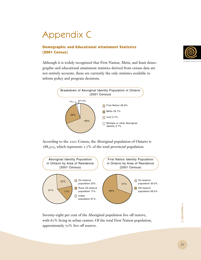# <span id="page-34-0"></span>Appendix C

#### **Demographic and Educational Attainment Statistics (2001 Census)**

Although it is widely recognized that First Nation, Métis, and Inuit demographic and educational attainment statistics derived from census data are not entirely accurate, these are currently the only statistics available to inform policy and program decisions.



According to the 2001 Census, the Aboriginal population of Ontario is 188,315, which represents 1.7% of the total provincial population.



Seventy-eight per cent of the Aboriginal population live off reserve, with 61% living in urban centres. Of the total First Nation population, approximately 70% live off reserve.

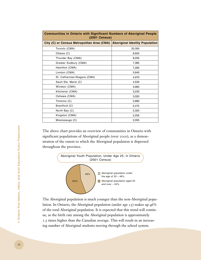| <b>Communities in Ontario with Significant Numbers of Aboriginal People</b><br>(2001 Census) |                                       |  |
|----------------------------------------------------------------------------------------------|---------------------------------------|--|
| City (C) or Census Metropolitan Area (CMA)                                                   | <b>Aboriginal Identity Population</b> |  |
| Toronto (CMA)                                                                                | 20,300                                |  |
| Ottawa (C)                                                                                   | 8,625                                 |  |
| Thunder Bay (CMA)                                                                            | 8,205                                 |  |
| Greater Sudbury (CMA)                                                                        | 7,385                                 |  |
| Hamilton (CMA)                                                                               | 7,265                                 |  |
| London (CMA)                                                                                 | 5,640                                 |  |
| St. Catharines-Niagara (CMA)                                                                 | 4,970                                 |  |
| Sault Ste. Marie (C)                                                                         | 4,530                                 |  |
| Windsor (CMA)                                                                                | 3,965                                 |  |
| Kitchener (CMA)                                                                              | 3,235                                 |  |
| Oshawa (CMA)                                                                                 | 3,020                                 |  |
| Timmins (C)                                                                                  | 2,880                                 |  |
| Brantford (C)                                                                                | 2,475                                 |  |
| North Bay (C)                                                                                | 2,320                                 |  |
| Kingston (CMA)                                                                               | 2,205                                 |  |
| Mississauga (C)                                                                              | 2,055                                 |  |

The above chart provides an overview of communities in Ontario with significant populations of Aboriginal people (over 2000), as a demonstration of the extent to which the Aboriginal population is dispersed throughout the province.



The Aboriginal population is much younger than the non-Aboriginal population. In Ontario, the Aboriginal population (under age 25) makes up 46% of the total Aboriginal population. It is expected that this trend will continue, as the birth rate among the Aboriginal population is approximately 1.5 times higher than the Canadian average. This will result in an increasing number of Aboriginal students moving through the school system.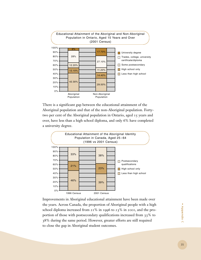

There is a significant gap between the educational attainment of the Aboriginal population and that of the non-Aboriginal population. Fortytwo per cent of the Aboriginal population in Ontario, aged 15 years and over, have less than a high school diploma, and only 6% have completed a university degree.



Improvements in Aboriginal educational attainment have been made over the years. Across Canada, the proportion of Aboriginal people with a high school diploma increased from 21% in 1996 to 23% in 2001, and the proportion of those with postsecondary qualifications increased from 33% to 38% during the same period. However, greater efforts are still required to close the gap in Aboriginal student outcomes.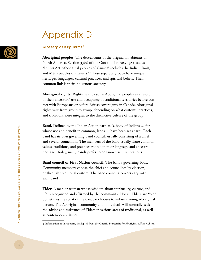# Appendix D

#### **Glossary of Key Terms <sup>9</sup>**

**Aboriginal peoples.** The descendants of the original inhabitants of North America. Section  $35(2)$  of the Constitution Act, 1982, states: "In this Act, 'Aboriginal peoples of Canada' includes the Indian, Inuit, and Métis peoples of Canada." These separate groups have unique heritages, languages, cultural practices, and spiritual beliefs. Their common link is their indigenous ancestry.

**Aboriginal rights.** Rights held by some Aboriginal peoples as a result of their ancestors' use and occupancy of traditional territories before contact with Europeans or before British sovereignty in Canada. Aboriginal rights vary from group to group, depending on what customs, practices, and traditions were integral to the distinctive culture of the group.

**Band.** Defined by the Indian Act, in part, as "a body of Indians … for whose use and benefit in common, lands … have been set apart". Each band has its own governing band council, usually consisting of a chief and several councillors. The members of the band usually share common values, traditions, and practices rooted in their language and ancestral heritage. Today, many bands prefer to be known as First Nations.

**Band council or First Nation council.** The band's governing body. Community members choose the chief and councillors by election, or through traditional custom. The band council's powers vary with each band.

**Elder.** A man or woman whose wisdom about spirituality, culture, and life is recognized and affirmed by the community. Not all Elders are "old". Sometimes the spirit of the Creator chooses to imbue a young Aboriginal person. The Aboriginal community and individuals will normally seek the advice and assistance of Elders in various areas of traditional, as well as contemporary issues.

<span id="page-37-0"></span>

<sup>9.</sup> Information in this glossary is adapted from the Ontario Secretariat for Aboriginal Affairs website.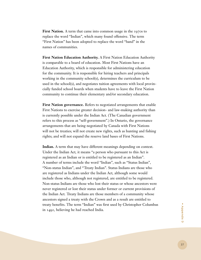First Nation. A term that came into common usage in the 1970s to replace the word "Indian", which many found offensive. The term "First Nation" has been adopted to replace the word "band" in the names of communities.

**First Nation Education Authority.** A First Nation Education Authority is comparable to a board of education. Most First Nations have an Education Authority, which is responsible for administering education for the community. It is responsible for hiring teachers and principals working in the community school(s), determines the curriculum to be used in the school(s), and negotiates tuition agreements with local provincially funded school boards when students have to leave the First Nation community to continue their elementary and/or secondary education.

**First Nation governance.** Refers to negotiated arrangements that enable First Nations to exercise greater decision- and law-making authority than is currently possible under the Indian Act*.* (The Canadian government refers to this process as "self-government".) In Ontario, the governance arrangements that are being negotiated by Canada with First Nations will not be treaties; will not create new rights, such as hunting and fishing rights; and will not expand the reserve land bases of First Nations.

**Indian.** A term that may have different meanings depending on context. Under the Indian Act*,* it means "a person who pursuant to this Act is registered as an Indian or is entitled to be registered as an Indian". A number of terms include the word "Indian", such as "Status Indian", "Non-status Indian", and "Treaty Indian". Status Indians are those who are registered as Indians under the Indian Act*,* although some would include those who, although not registered, are entitled to be registered. Non-status Indians are those who lost their status or whose ancestors were never registered or lost their status under former or current provisions of the Indian Act*.* Treaty Indians are those members of a community whose ancestors signed a treaty with the Crown and as a result are entitled to treaty benefits. The term "Indian" was first used by Christopher Columbus in 1492, believing he had reached India.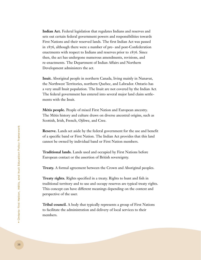**Indian Act.** Federal legislation that regulates Indians and reserves and sets out certain federal government powers and responsibilities towards First Nations and their reserved lands. The first Indian Act was passed in 1876, although there were a number of pre- and post-Confederation enactments with respect to Indians and reserves prior to 1876. Since then, the act has undergone numerous amendments, revisions, and re-enactments. The Department of Indian Affairs and Northern Development administers the act.

**Inuit.** Aboriginal people in northern Canada, living mainly in Nunavut, the Northwest Territories, northern Quebec, and Labrador. Ontario has a very small Inuit population. The Inuit are not covered by the Indian Act*.*  The federal government has entered into several major land claim settlements with the Inuit.

**Métis people.** People of mixed First Nation and European ancestry. The Métis history and culture draws on diverse ancestral origins, such as Scottish, Irish, French, Ojibwe, and Cree.

**Reserve.** Lands set aside by the federal government for the use and benefit of a specific band or First Nation. The Indian Act provides that this land cannot be owned by individual band or First Nation members.

**Traditional lands.** Lands used and occupied by First Nations before European contact or the assertion of British sovereignty.

**Treaty.** A formal agreement between the Crown and Aboriginal peoples.

**Treaty rights.** Rights specified in a treaty. Rights to hunt and fish in traditional territory and to use and occupy reserves are typical treaty rights. This concept can have different meanings depending on the context and perspective of the user.

**Tribal council.** A body that typically represents a group of First Nations to facilitate the administration and delivery of local services to their members.